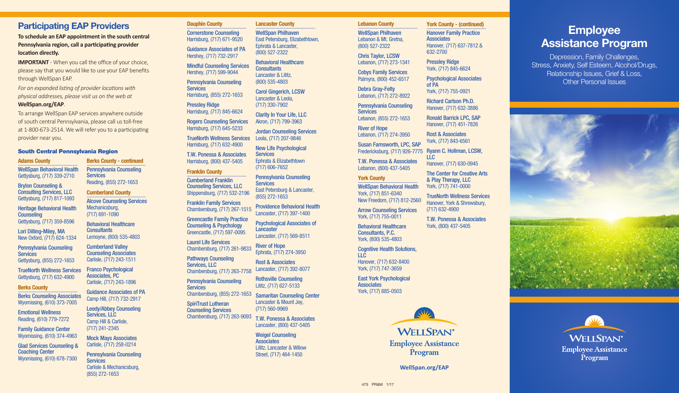# **Participating EAP Providers**

**To schedule an EAP appointment in the south central Pennsylvania region, call a participating provider location directly.**

**IMPORTANT** - When you call the office of your choice, please say that you would like to use your EAP benefits through WellSpan EAP.

*For an expanded listing of provider locations with physical addresses, please visit us on the web at* 

#### **WellSpan.org/EAP**.

To arrange WellSpan EAP services anywhere outside of south central Pennsylvania, please call us toll-free at 1-800-673-2514. We will refer you to a participating provider near you.

#### South Central Pennsylvania Region

Adams County WellSpan Behavioral Health Gettysburg, (717) 339-2710

Brylon Counseling & Consulting Services, LLC Gettysburg, (717) 817-1093

Heritage Behavioral Health **Counseling** 

Gettysburg, (717) 359-8596 Lori Dilling-Miley, MA

New Oxford, (717) 624-1334

Pennsylvania Counseling **Services** Gettysburg, (855) 272-1653

TrueNorth Wellness Services Gettysburg, (717) 632-4900

#### Berks County

Berks Counseling Associates Wyomissing, (610) 373-7005

Emotional Wellness Reading, (610) 779-7272

Family Guidance Center Wyomissing, (610) 374-4963

Glad Services Counseling & Coaching Center Wyomissing, (610) 678-7300

Berks County - continued Pennsylvania Counseling **Services** Reading, (855) 272-1653

Cumberland County

Alcove Counseling Services Mechanicsburg, (717) 691-1090

Behavioral Healthcare **Consultants** Lemoyne, (800) 535-4803

Cumberland Valley Counseling Associates Carlisle, (717) 243-1511

Franco Psychological Associates, PC

Carlisle, (717) 243-1896 Guidance Associates of PA Camp Hill, (717) 732-2917

Leedy/Abbey Counseling Services, LLC Camp Hill & Carlisle, (717) 241-2345

Mock Mays Associates Carlisle, (717) 258-0214

Pennsylvania Counseling **Services** Carlisle & Mechanicsburg, (855) 272-1653

Dauphin County Cornerstone Counseling Harrisburg, (717) 671-9520 Guidance Associates of PA Hershey, (717) 732-2917 Mindful Counseling Services Hershey, (717) 599-9044 Pennsylvania Counseling **Services** Harrisburg, (855) 272-1653 Pressley Ridge Harrisburg, (717) 845-6624 Rogers Counseling Services Harrisburg, (717) 645-5233 TrueNorth Wellness Services Harrisburg, (717) 632-4900 T.W. Ponessa & Associates Harrisburg, (800) 437-5405 Franklin County Cumberland Franklin Counseling Services, LLC Shippensburg, (717) 532-2196 Franklin Family Services Chambersburg, (717) 267-1515 Greencastle Family Practice Counseling & Psychology Greencastle, (717) 597-0095 Laurel Life Services Chambersburg, (717) 261-9833 Pathways Counseling Services, LLC Chambersburg, (717) 263-7758 Pennsylvania Counseling **Services** Chambersburg, (855) 272-1653 Lancaster County WellSpan Philhaven East Petersburg, Elizabethtown, Ephrata & Lancaster, (800) 527-2322 Behavioral Healthcare **Consultants** Lancaster & Lititz, (800) 535-4803 Carol Gingerich, LCSW Lancaster & Leola, (717) 330-7902 Clarity In Your Life, LLC Akron, (717) 799-3963 Jordan Counseling Services Leola, (717) 207-9846 New Life Psychological **Services** Ephrata & Elizabethtown (717) 606-7652 Pennsylvania Counseling **Services** East Petersburg & Lancaster, (855) 272-1653 Providence Behavioral Health Lancaster, (717) 397-1400 Psychological Associates of **Lancaster** Lancaster, (717) 569-8511 River of Hope Ephrata, (717) 274-3950 Rost & Associates Lancaster, (717) 392-8077 Rothsville Counseling Lititz, (717) 627-5133

Samaritan Counseling Center Lancaster & Mount Joy, (717) 560-9969

SpiriTrust Lutheran Counseling Services

Chambersburg, (717) 263-9093 T.W. Ponessa & Associates Lancaster, (800) 437-5405

> Weigel Counseling **Associates** Lititz, Lancaster & Willow Street, (717) 464-1450

Lebanon County WellSpan Philhaven Lebanon & Mt. Gretna, (800) 527-2322

> Chris Taylor, LCSW Lebanon, (717) 273-1341

York County - (continued) Hanover Family Practice

Hanover, (717) 637-7812 &

York, (717) 755-0921 Richard Carlson Ph.D. Hanover, (717) 632-3886 Ronald Barrick LPC, SAP Hanover, (717) 451-7826 Rost & Associates York, (717) 843-6561

Hanover, (717) 630-0945 The Center for Creative Arts & Play Therapy, LLC York, (717) 741-0000

TrueNorth Wellness Services Hanover, York & Shrewsbury,

T.W. Ponessa & Associates York, (800) 437-5405

(717) 632-4900

**Associates** 

632-2700 Pressley Ridge York, (717) 845-6624 Psychological Associates

of PA

LLC

Cobys Family Services Palmyra, (800) 452-6517

Debra Gray-Felty Lebanon, (717) 272-8922

Pennsylvania Counseling **Services** Lebanon, (855) 272-1653

River of Hope Lebanon, (717) 274-3950

Susan Farnsworth, LPC, SAP Fredericksburg, (717) 926-7775 Ryann C. Hollman, LCSW,

T.W. Ponessa & Associates Lebanon, (800) 437-5405

York County WellSpan Behavioral Health York, (717) 851-6340

New Freedom, (717) 812-2560 Arrow Counseling Services

York, (717) 755-0011 Behavioral Healthcare Consultants, P.C. York, (800) 535-4803

Cognitive Health Solutions, LLC

Hanover, (717) 632-8400 York, (717) 747-3659

East York Psychological **Associates** York, (717) 885-0503



**WellSpan.org/EAP**

# **Employee Assistance Program**

Depression, Family Challenges, Stress, Anxiety, Self Esteem, Alcohol/Drugs, Relationship Issues, Grief & Loss, Other Personal Issues